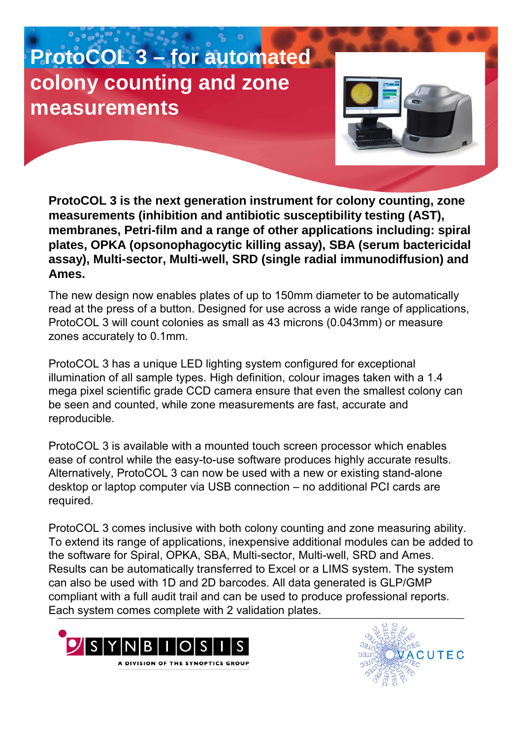## **ProtoCOL 3 – for automated colony counting and zone measurements**



**ProtoCOL 3 is the next generation instrument for colony counting, zone measurements (inhibition and antibiotic susceptibility testing (AST), membranes, Petri-film and a range of other applications including: spiral plates, OPKA (opsonophagocytic killing assay), SBA (serum bactericidal assay), Multi-sector, Multi-well, SRD (single radial immunodiffusion) and Ames.**

The new design now enables plates of up to 150mm diameter to be automatically read at the press of a button. Designed for use across a wide range of applications, ProtoCOL 3 will count colonies as small as 43 microns (0.043mm) or measure zones accurately to 0.1mm.

ProtoCOL 3 has a unique LED lighting system configured for exceptional illumination of all sample types. High definition, colour images taken with a 1.4 mega pixel scientific grade CCD camera ensure that even the smallest colony can be seen and counted, while zone measurements are fast, accurate and reproducible.

ProtoCOL 3 is available with a mounted touch screen processor which enables ease of control while the easy-to-use software produces highly accurate results. Alternatively, ProtoCOL 3 can now be used with a new or existing stand-alone desktop or laptop computer via USB connection – no additional PCI cards are required.

ProtoCOL 3 comes inclusive with both colony counting and zone measuring ability. To extend its range of applications, inexpensive additional modules can be added to the software for Spiral, OPKA, SBA, Multi-sector, Multi-well, SRD and Ames. Results can be automatically transferred to Excel or a LIMS system. The system can also be used with 1D and 2D barcodes. All data generated is GLP/GMP compliant with a full audit trail and can be used to produce professional reports. Each system comes complete with 2 validation plates.